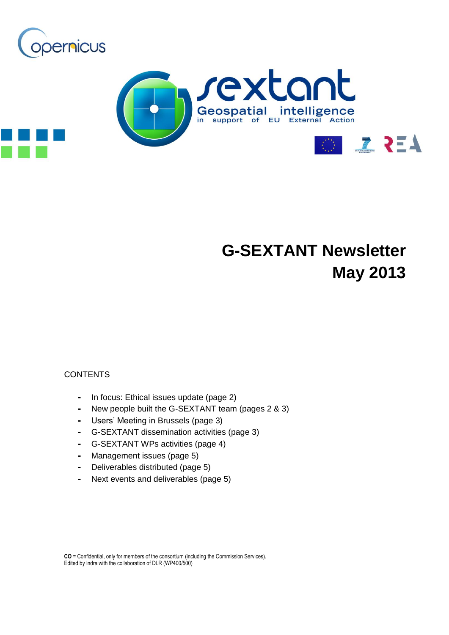



# **G-SEXTANT Newsletter May 2013**

#### **CONTENTS**

- **-** In focus: Ethical issues update (page 2)
- **-** New people built the G-SEXTANT team (pages 2 & 3)
- **-** Users' Meeting in Brussels (page 3)
- **-** G-SEXTANT dissemination activities (page 3)
- **-** G-SEXTANT WPs activities (page 4)
- **-** Management issues (page 5)
- **-** Deliverables distributed (page 5)
- **-** Next events and deliverables (page 5)

**CO** = Confidential, only for members of the consortium (including the Commission Services). Edited by Indra with the collaboration of DLR (WP400/500)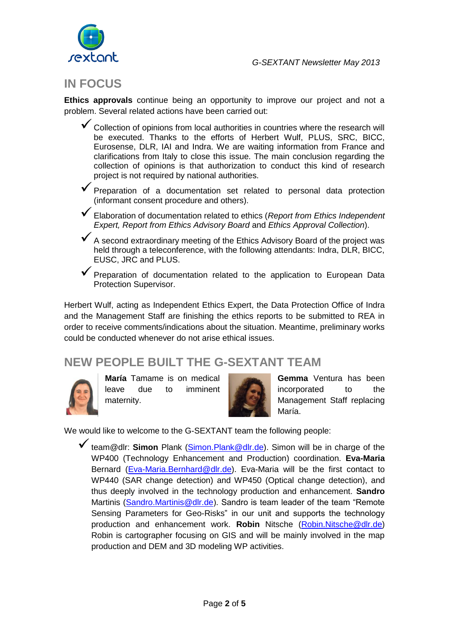

# **IN FOCUS**

**Ethics approvals** continue being an opportunity to improve our project and not a problem. Several related actions have been carried out:

- $\checkmark$  Collection of opinions from local authorities in countries where the research will be executed. Thanks to the efforts of Herbert Wulf, PLUS, SRC, BICC, Eurosense, DLR, IAI and Indra. We are waiting information from France and clarifications from Italy to close this issue. The main conclusion regarding the collection of opinions is that authorization to conduct this kind of research project is not required by national authorities.
- **V** Preparation of a documentation set related to personal data protection (informant consent procedure and others).
- Elaboration of documentation related to ethics (*Report from Ethics Independent Expert, Report from Ethics Advisory Board* and *Ethics Approval Collection*).
- A second extraordinary meeting of the Ethics Advisory Board of the project was held through a teleconference, with the following attendants: Indra, DLR, BICC, EUSC, JRC and PLUS.
- $\checkmark$  Preparation of documentation related to the application to European Data Protection Supervisor.

Herbert Wulf, acting as Independent Ethics Expert, the Data Protection Office of Indra and the Management Staff are finishing the ethics reports to be submitted to REA in order to receive comments/indications about the situation. Meantime, preliminary works could be conducted whenever do not arise ethical issues.

# **NEW PEOPLE BUILT THE G-SEXTANT TEAM**



**María** Tamame is on medical leave due to imminent maternity.



**Gemma** Ventura has been incorporated to the Management Staff replacing María.

We would like to welcome to the G-SEXTANT team the following people:

team@dlr: **Simon** Plank [\(Simon.Plank@dlr.de\)](mailto:Simon.Plank@dlr.de). Simon will be in charge of the WP400 (Technology Enhancement and Production) coordination. **Eva-Maria** Bernard [\(Eva-Maria.Bernhard@dlr.de\)](mailto:Eva-Maria.Bernhard@dlr.de). Eva-Maria will be the first contact to WP440 (SAR change detection) and WP450 (Optical change detection), and thus deeply involved in the technology production and enhancement. **Sandro** Martinis [\(Sandro.Martinis@dlr.de\)](mailto:Sandro.Martinis@dlr.de). Sandro is team leader of the team "Remote Sensing Parameters for Geo-Risks" in our unit and supports the technology production and enhancement work. **Robin** Nitsche [\(Robin.Nitsche@dlr.de\)](mailto:Robin.Nitsche@dlr.de) Robin is cartographer focusing on GIS and will be mainly involved in the map production and DEM and 3D modeling WP activities.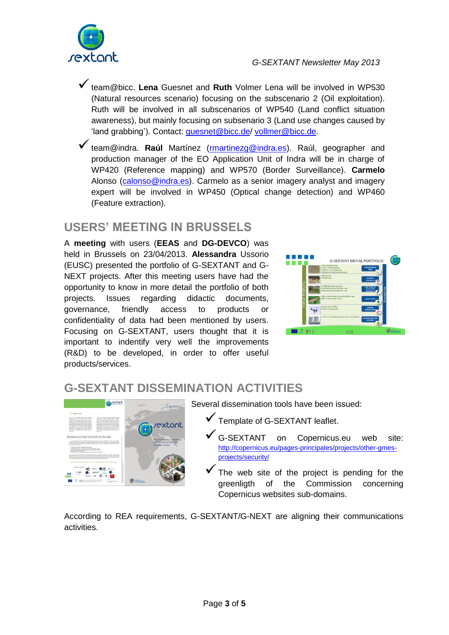

- team@bicc. **Lena** Guesnet and **Ruth** Volmer Lena will be involved in WP530 (Natural resources scenario) focusing on the subscenario 2 (Oil exploitation). Ruth will be involved in all subscenarios of WP540 (Land conflict situation awareness), but mainly focusing on subsenario 3 (Land use changes caused by 'land grabbing'). Contact: [guesnet@bicc.de/](mailto:guesnet@bicc.de) [vollmer@bicc.de.](mailto:vollmer@bicc.de)
- **√** team@indra. **Raúl** Martínez [\(rmartinezg@indra.es\)](mailto:rmartinezg@indra.es). Raúl, geographer and production manager of the EO Application Unit of Indra will be in charge of WP420 (Reference mapping) and WP570 (Border Surveillance). **Carmelo** Alonso [\(calonso@indra.es\)](mailto:calonso@indra.es). Carmelo as a senior imagery analyst and imagery expert will be involved in WP450 (Optical change detection) and WP460 (Feature extraction).

# **USERS' MEETING IN BRUSSELS**

A **meeting** with users (**EEAS** and **DG-DEVCO**) was held in Brussels on 23/04/2013. **Alessandra** Ussorio (EUSC) presented the portfolio of G-SEXTANT and G-NEXT projects. After this meeting users have had the opportunity to know in more detail the portfolio of both projects. Issues regarding didactic documents, governance, friendly access to products or confidentiality of data had been mentioned by users. Focusing on G-SEXTANT, users thought that it is important to indentify very well the improvements (R&D) to be developed, in order to offer useful products/services.



# **G-SEXTANT DISSEMINATION ACTIVITIES**



Several dissemination tools have been issued:

- Template of G-SEXTANT leaflet.
- G-SEXTANT on Copernicus.eu web site: [http://copernicus.eu/pages-principales/projects/other-gmes](http://copernicus.eu/pages-principales/projects/other-gmes-projects/security/)[projects/security/](http://copernicus.eu/pages-principales/projects/other-gmes-projects/security/)
- The web site of the project is pending for the greenligth of the Commission concerning Copernicus websites sub-domains.

According to REA requirements, G-SEXTANT/G-NEXT are aligning their communications activities.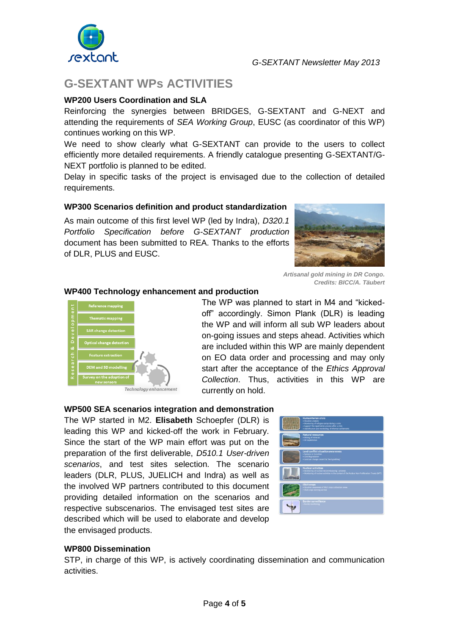

# **G-SEXTANT WPs ACTIVITIES**

#### **WP200 Users Coordination and SLA**

Reinforcing the synergies between BRIDGES, G-SEXTANT and G-NEXT and attending the requirements of *SEA Working Group*, EUSC (as coordinator of this WP) continues working on this WP.

We need to show clearly what G-SEXTANT can provide to the users to collect efficiently more detailed requirements. A friendly catalogue presenting G-SEXTANT/G-NEXT portfolio is planned to be edited.

Delay in specific tasks of the project is envisaged due to the collection of detailed requirements.

#### **WP300 Scenarios definition and product standardization**

As main outcome of this first level WP (led by Indra), *D320.1 Portfolio Specification before G-SEXTANT production* document has been submitted to REA. Thanks to the efforts of DLR, PLUS and EUSC.



*Artisanal gold mining in DR Congo. Credits: BICC/A. Täubert*

#### **WP400 Technology enhancement and production**



The WP was planned to start in M4 and "kickedoff" accordingly. Simon Plank (DLR) is leading the WP and will inform all sub WP leaders about on-going issues and steps ahead. Activities which are included within this WP are mainly dependent on EO data order and processing and may only start after the acceptance of the *Ethics Approval Collection*. Thus, activities in this WP are currently on hold.

#### **WP500 SEA scenarios integration and demonstration**

The WP started in M2. **Elisabeth** Schoepfer (DLR) is leading this WP and kicked-off the work in February. Since the start of the WP main effort was put on the preparation of the first deliverable, *D510.1 User-driven scenarios*, and test sites selection. The scenario leaders (DLR, PLUS, JUELICH and Indra) as well as the involved WP partners contributed to this document providing detailed information on the scenarios and respective subscenarios. The envisaged test sites are described which will be used to elaborate and develop the envisaged products.



#### **WP800 Dissemination**

STP, in charge of this WP, is actively coordinating dissemination and communication activities.